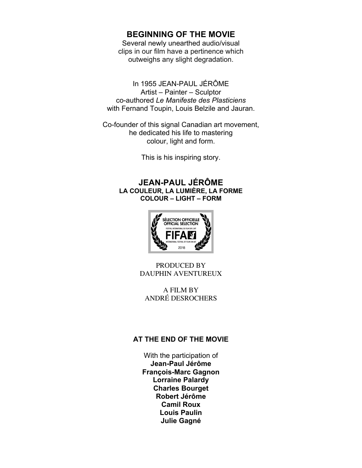# **BEGINNING OF THE MOVIE**

Several newly unearthed audio/visual clips in our film have a pertinence which outweighs any slight degradation.

In 1955 JEAN-PAUL JÉRÔME Artist – Painter – Sculptor co-authored *Le Manifeste des Plasticiens* with Fernand Toupin, Louis Belzile and Jauran.

Co-founder of this signal Canadian art movement, he dedicated his life to mastering colour, light and form.

This is his inspiring story.

## **JEAN-PAUL JÉRÔME LA COULEUR, LA LUMIÈRE, LA FORME COLOUR – LIGHT – FORM**



PRODUCED BY DAUPHIN AVENTUREUX

A FILM BY ANDRÉ DESROCHERS

#### **AT THE END OF THE MOVIE**

With the participation of **Jean-Paul Jérôme François-Marc Gagnon Lorraine Palardy Charles Bourget Robert Jérôme Camil Roux Louis Paulin Julie Gagné**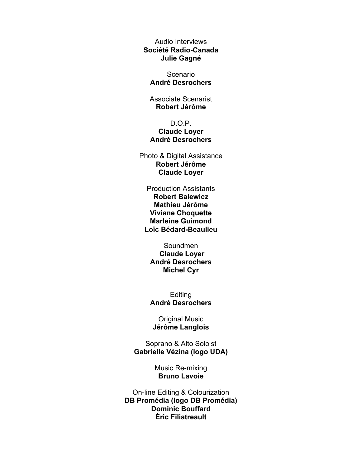Audio Interviews **Société Radio-Canada Julie Gagné**

Scenario **André Desrochers**

Associate Scenarist **Robert Jérôme**

#### D.O.P. **Claude Loyer André Desrochers**

Photo & Digital Assistance **Robert Jérôme Claude Loyer**

Production Assistants **Robert Balewicz Mathieu Jérôme Viviane Choquette Marleine Guimond Loïc Bédard-Beaulieu**

Soundmen **Claude Loyer André Desrochers Michel Cyr**

**Editing André Desrochers**

Original Music **Jérôme Langlois**

Soprano & Alto Soloist **Gabrielle Vézina (logo UDA)**

> Music Re-mixing **Bruno Lavoie**

On-line Editing & Colourization **DB Promédia (logo DB Promédia) Dominic Bouffard Éric Filiatreault**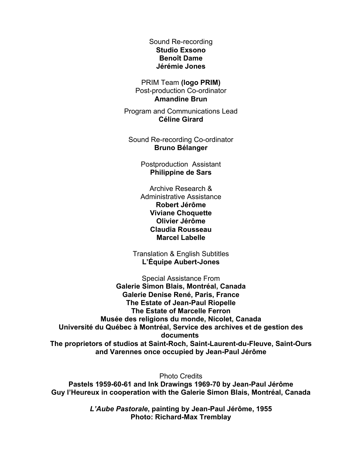Sound Re-recording **Studio Exsono Benoît Dame Jérémie Jones**

PRIM Team **(logo PRIM)** Post-production Co-ordinator **Amandine Brun**

Program and Communications Lead **Céline Girard**

Sound Re-recording Co-ordinator **Bruno Bélanger**

> Postproduction Assistant **Philippine de Sars**

> Archive Research & Administrative Assistance **Robert Jérôme Viviane Choquette Olivier Jérôme Claudia Rousseau Marcel Labelle**

Translation & English Subtitles **L'Équipe Aubert-Jones**

Special Assistance From **Galerie Simon Blais, Montréal, Canada Galerie Denise René, Paris, France The Estate of Jean-Paul Riopelle The Estate of Marcelle Ferron Musée des religions du monde, Nicolet, Canada Université du Québec à Montréal, Service des archives et de gestion des documents The proprietors of studios at Saint-Roch, Saint-Laurent-du-Fleuve, Saint-Ours** 

**and Varennes once occupied by Jean-Paul Jérôme** Photo Credits

**Pastels 1959-60-61 and Ink Drawings 1969-70 by Jean-Paul Jérôme Guy l'Heureux in cooperation with the Galerie Simon Blais, Montréal, Canada**

> *L'Aube Pastorale***, painting by Jean-Paul Jérôme, 1955 Photo: Richard-Max Tremblay**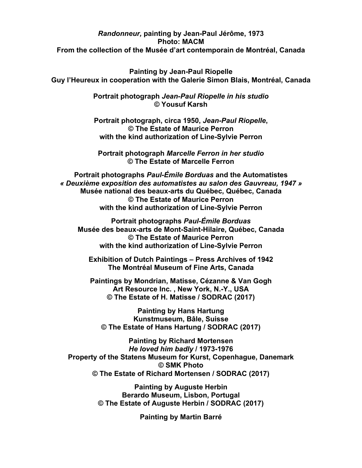### *Randonneur,* **painting by Jean-Paul Jérôme, 1973 Photo: MACM From the collection of the Musée d'art contemporain de Montréal, Canada**

**Painting by Jean-Paul Riopelle Guy l'Heureux in cooperation with the Galerie Simon Blais, Montréal, Canada**

> **Portrait photograph** *Jean-Paul Riopelle in his studio* **© Yousuf Karsh**

**Portrait photograph, circa 1950,** *Jean-Paul Riopelle***, © The Estate of Maurice Perron with the kind authorization of Line-Sylvie Perron** 

**Portrait photograph** *Marcelle Ferron in her studio* **© The Estate of Marcelle Ferron**

**Portrait photographs** *Paul-Émile Borduas* **and the Automatistes** *« Deuxième exposition des automatistes au salon des Gauvreau, 1947 »* **Musée national des beaux-arts du Québec, Québec, Canada © The Estate of Maurice Perron with the kind authorization of Line-Sylvie Perron**

**Portrait photographs** *Paul-Émile Borduas* **Musée des beaux-arts de Mont-Saint-Hilaire, Québec, Canada © The Estate of Maurice Perron with the kind authorization of Line-Sylvie Perron** 

**Exhibition of Dutch Paintings – Press Archives of 1942 The Montréal Museum of Fine Arts, Canada**

**Paintings by Mondrian, Matisse, Cézanne & Van Gogh Art Resource Inc. , New York, N.-Y., USA © The Estate of H. Matisse / SODRAC (2017)**

**Painting by Hans Hartung Kunstmuseum, Bâle, Suisse © The Estate of Hans Hartung / SODRAC (2017)**

**Painting by Richard Mortensen** *He loved him badly* **/ 1973-1976 Property of the Statens Museum for Kurst, Copenhague, Danemark © SMK Photo © The Estate of Richard Mortensen / SODRAC (2017)**

> **Painting by Auguste Herbin Berardo Museum, Lisbon, Portugal © The Estate of Auguste Herbin / SODRAC (2017)**

> > **Painting by Martin Barré**